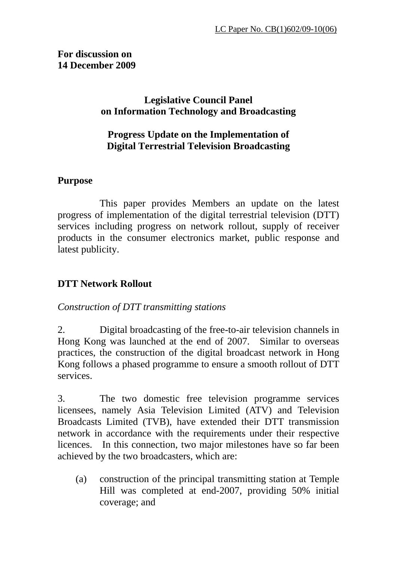#### **For discussion on 14 December 2009**

# **Legislative Council Panel on Information Technology and Broadcasting**

# **Progress Update on the Implementation of Digital Terrestrial Television Broadcasting**

# **Purpose**

 This paper provides Members an update on the latest progress of implementation of the digital terrestrial television (DTT) services including progress on network rollout, supply of receiver products in the consumer electronics market, public response and latest publicity.

# **DTT Network Rollout**

# *Construction of DTT transmitting stations*

2. Digital broadcasting of the free-to-air television channels in Hong Kong was launched at the end of 2007. Similar to overseas practices, the construction of the digital broadcast network in Hong Kong follows a phased programme to ensure a smooth rollout of DTT services.

3. The two domestic free television programme services licensees, namely Asia Television Limited (ATV) and Television Broadcasts Limited (TVB), have extended their DTT transmission network in accordance with the requirements under their respective licences. In this connection, two major milestones have so far been achieved by the two broadcasters, which are:

(a) construction of the principal transmitting station at Temple Hill was completed at end-2007, providing 50% initial coverage; and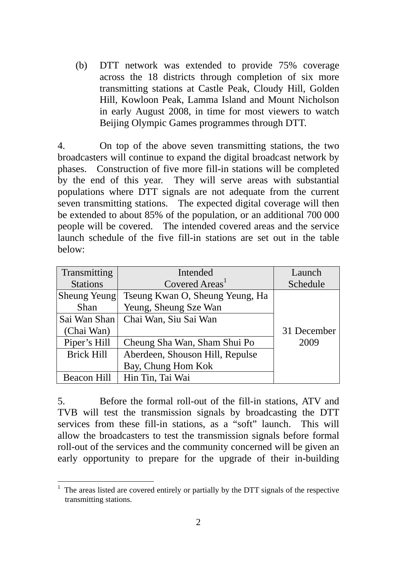(b) DTT network was extended to provide 75% coverage across the 18 districts through completion of six more transmitting stations at Castle Peak, Cloudy Hill, Golden Hill, Kowloon Peak, Lamma Island and Mount Nicholson in early August 2008, in time for most viewers to watch Beijing Olympic Games programmes through DTT.

4. On top of the above seven transmitting stations, the two broadcasters will continue to expand the digital broadcast network by phases. Construction of five more fill-in stations will be completed by the end of this year. They will serve areas with substantial populations where DTT signals are not adequate from the current seven transmitting stations. The expected digital coverage will then be extended to about 85% of the population, or an additional 700 000 people will be covered. The intended covered areas and the service launch schedule of the five fill-in stations are set out in the table below:

| Transmitting<br>Intended                             |                                 | Launch      |
|------------------------------------------------------|---------------------------------|-------------|
| <b>Stations</b>                                      | Covered Areas <sup>1</sup>      | Schedule    |
| Sheung Yeung                                         | Tseung Kwan O, Sheung Yeung, Ha |             |
| <b>Shan</b>                                          | Yeung, Sheung Sze Wan           |             |
| Sai Wan Shan                                         | Chai Wan, Siu Sai Wan           |             |
| (Chai Wan)                                           |                                 | 31 December |
| Piper's Hill                                         | Cheung Sha Wan, Sham Shui Po    | 2009        |
| <b>Brick Hill</b><br>Aberdeen, Shouson Hill, Repulse |                                 |             |
|                                                      | Bay, Chung Hom Kok              |             |
| <b>Beacon Hill</b>                                   | Hin Tin, Tai Wai                |             |

5. Before the formal roll-out of the fill-in stations, ATV and TVB will test the transmission signals by broadcasting the DTT services from these fill-in stations, as a "soft" launch. This will allow the broadcasters to test the transmission signals before formal roll-out of the services and the community concerned will be given an early opportunity to prepare for the upgrade of their in-building

<sup>&</sup>lt;sup>1</sup> The areas listed are covered entirely or partially by the DTT signals of the respective transmitting stations.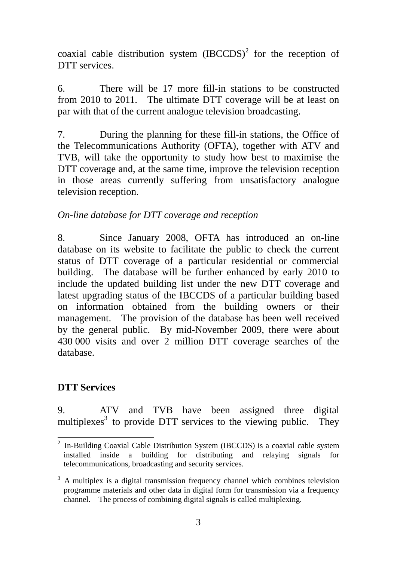coaxial cable distribution system  $(IBCCDS)^2$  for the reception of DTT services.

6. There will be 17 more fill-in stations to be constructed from 2010 to 2011. The ultimate DTT coverage will be at least on par with that of the current analogue television broadcasting.

7. During the planning for these fill-in stations, the Office of the Telecommunications Authority (OFTA), together with ATV and TVB, will take the opportunity to study how best to maximise the DTT coverage and, at the same time, improve the television reception in those areas currently suffering from unsatisfactory analogue television reception.

# *On-line database for DTT coverage and reception*

8. Since January 2008, OFTA has introduced an on-line database on its website to facilitate the public to check the current status of DTT coverage of a particular residential or commercial building. The database will be further enhanced by early 2010 to include the updated building list under the new DTT coverage and latest upgrading status of the IBCCDS of a particular building based on information obtained from the building owners or their management. The provision of the database has been well received by the general public. By mid-November 2009, there were about 430 000 visits and over 2 million DTT coverage searches of the database.

# **DTT Services**

9. ATV and TVB have been assigned three digital multiplexes<sup>3</sup> to provide DTT services to the viewing public. They

<sup>&</sup>lt;sup>2</sup> In-Building Coaxial Cable Distribution System (IBCCDS) is a coaxial cable system installed inside a building for distributing and relaying signals for telecommunications, broadcasting and security services.

 $3$  A multiplex is a digital transmission frequency channel which combines television programme materials and other data in digital form for transmission via a frequency channel. The process of combining digital signals is called multiplexing.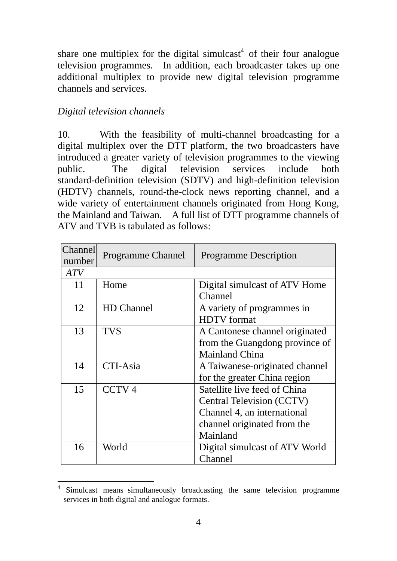share one multiplex for the digital simulcast<sup>4</sup> of their four analogue television programmes. In addition, each broadcaster takes up one additional multiplex to provide new digital television programme channels and services.

# *Digital television channels*

10. With the feasibility of multi-channel broadcasting for a digital multiplex over the DTT platform, the two broadcasters have introduced a greater variety of television programmes to the viewing public. The digital television services include both standard-definition television (SDTV) and high-definition television (HDTV) channels, round-the-clock news reporting channel, and a wide variety of entertainment channels originated from Hong Kong, the Mainland and Taiwan. A full list of DTT programme channels of ATV and TVB is tabulated as follows:

| <b>Channel</b><br>number | <b>Programme Channel</b> | <b>Programme Description</b>                                                                                                        |
|--------------------------|--------------------------|-------------------------------------------------------------------------------------------------------------------------------------|
| <b>ATV</b>               |                          |                                                                                                                                     |
| 11                       | Home                     | Digital simulcast of ATV Home<br>Channel                                                                                            |
| 12                       | <b>HD</b> Channel        | A variety of programmes in<br><b>HDTV</b> format                                                                                    |
| 13                       | <b>TVS</b>               | A Cantonese channel originated<br>from the Guangdong province of<br><b>Mainland China</b>                                           |
| 14                       | CTI-Asia                 | A Taiwanese-originated channel<br>for the greater China region                                                                      |
| 15                       | CCTV <sub>4</sub>        | Satellite live feed of China<br>Central Television (CCTV)<br>Channel 4, an international<br>channel originated from the<br>Mainland |
| 16                       | World                    | Digital simulcast of ATV World<br>Channel                                                                                           |

 $\overline{a}$ Simulcast means simultaneously broadcasting the same television programme services in both digital and analogue formats.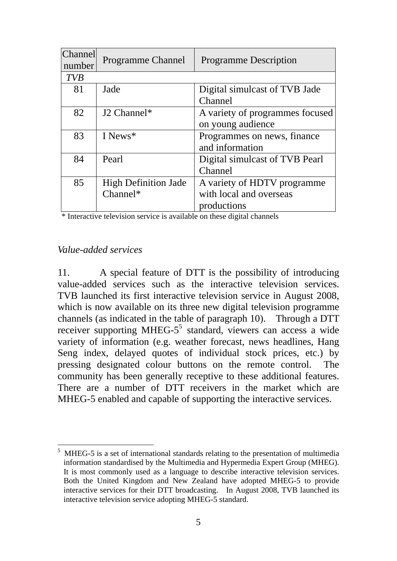| <b>Channel</b> | <b>Programme Channel</b>    | <b>Programme Description</b>    |  |
|----------------|-----------------------------|---------------------------------|--|
| number         |                             |                                 |  |
| <b>TVB</b>     |                             |                                 |  |
| 81             | Jade                        | Digital simulcast of TVB Jade   |  |
|                |                             | Channel                         |  |
| 82             | J <sub>2</sub> Channel*     | A variety of programmes focused |  |
|                |                             | on young audience               |  |
| 83             | I News <sup>*</sup>         | Programmes on news, finance     |  |
|                |                             | and information                 |  |
| 84             | Pearl                       | Digital simulcast of TVB Pearl  |  |
|                |                             | Channel                         |  |
| 85             | <b>High Definition Jade</b> | A variety of HDTV programme     |  |
|                | $Channel*$                  | with local and overseas         |  |
|                |                             | productions                     |  |

\* Interactive television service is available on these digital channels

#### *Value-added services*

11. A special feature of DTT is the possibility of introducing value-added services such as the interactive television services. TVB launched its first interactive television service in August 2008, which is now available on its three new digital television programme channels (as indicated in the table of paragraph 10). Through a DTT receiver supporting MHEG- $5<sup>5</sup>$  standard, viewers can access a wide variety of information (e.g. weather forecast, news headlines, Hang Seng index, delayed quotes of individual stock prices, etc.) by pressing designated colour buttons on the remote control. The community has been generally receptive to these additional features. There are a number of DTT receivers in the market which are MHEG-5 enabled and capable of supporting the interactive services.

 $\overline{a}$ 5 MHEG-5 is a set of international standards relating to the presentation of multimedia information standardised by the Multimedia and Hypermedia Expert Group (MHEG). It is most commonly used as a language to describe interactive television services. Both the United Kingdom and New Zealand have adopted MHEG-5 to provide interactive services for their DTT broadcasting. In August 2008, TVB launched its interactive television service adopting MHEG-5 standard.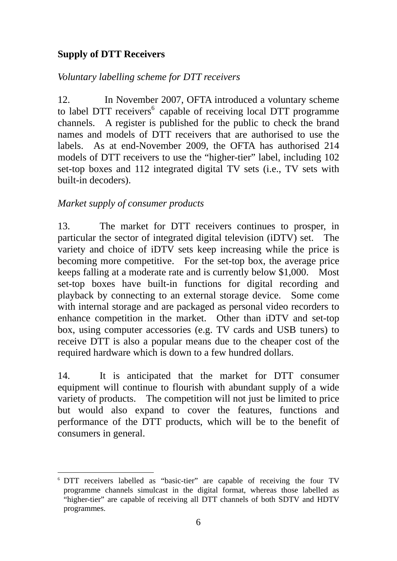# **Supply of DTT Receivers**

# *Voluntary labelling scheme for DTT receivers*

12. In November 2007, OFTA introduced a voluntary scheme to label DTT receivers<sup>6</sup> capable of receiving local DTT programme channels. A register is published for the public to check the brand names and models of DTT receivers that are authorised to use the labels. As at end-November 2009, the OFTA has authorised 214 models of DTT receivers to use the "higher-tier" label, including 102 set-top boxes and 112 integrated digital TV sets (i.e., TV sets with built-in decoders).

### *Market supply of consumer products*

13. The market for DTT receivers continues to prosper, in particular the sector of integrated digital television (iDTV) set. The variety and choice of iDTV sets keep increasing while the price is becoming more competitive. For the set-top box, the average price keeps falling at a moderate rate and is currently below \$1,000. Most set-top boxes have built-in functions for digital recording and playback by connecting to an external storage device. Some come with internal storage and are packaged as personal video recorders to enhance competition in the market. Other than iDTV and set-top box, using computer accessories (e.g. TV cards and USB tuners) to receive DTT is also a popular means due to the cheaper cost of the required hardware which is down to a few hundred dollars.

14. It is anticipated that the market for DTT consumer equipment will continue to flourish with abundant supply of a wide variety of products. The competition will not just be limited to price but would also expand to cover the features, functions and performance of the DTT products, which will be to the benefit of consumers in general.

 $\overline{a}$ 6 DTT receivers labelled as "basic-tier" are capable of receiving the four TV programme channels simulcast in the digital format, whereas those labelled as "higher-tier" are capable of receiving all DTT channels of both SDTV and HDTV programmes.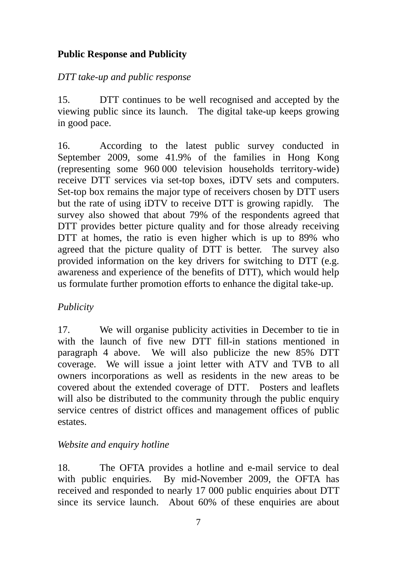# **Public Response and Publicity**

### *DTT take-up and public response*

15. DTT continues to be well recognised and accepted by the viewing public since its launch. The digital take-up keeps growing in good pace.

16. According to the latest public survey conducted in September 2009, some 41.9% of the families in Hong Kong (representing some 960 000 television households territory-wide) receive DTT services via set-top boxes, iDTV sets and computers. Set-top box remains the major type of receivers chosen by DTT users but the rate of using iDTV to receive DTT is growing rapidly. The survey also showed that about 79% of the respondents agreed that DTT provides better picture quality and for those already receiving DTT at homes, the ratio is even higher which is up to 89% who agreed that the picture quality of DTT is better. The survey also provided information on the key drivers for switching to DTT (e.g. awareness and experience of the benefits of DTT), which would help us formulate further promotion efforts to enhance the digital take-up.

# *Publicity*

17. We will organise publicity activities in December to tie in with the launch of five new DTT fill-in stations mentioned in paragraph 4 above. We will also publicize the new 85% DTT coverage. We will issue a joint letter with ATV and TVB to all owners incorporations as well as residents in the new areas to be covered about the extended coverage of DTT. Posters and leaflets will also be distributed to the community through the public enquiry service centres of district offices and management offices of public estates.

# *Website and enquiry hotline*

18. The OFTA provides a hotline and e-mail service to deal with public enquiries. By mid-November 2009, the OFTA has received and responded to nearly 17 000 public enquiries about DTT since its service launch. About 60% of these enquiries are about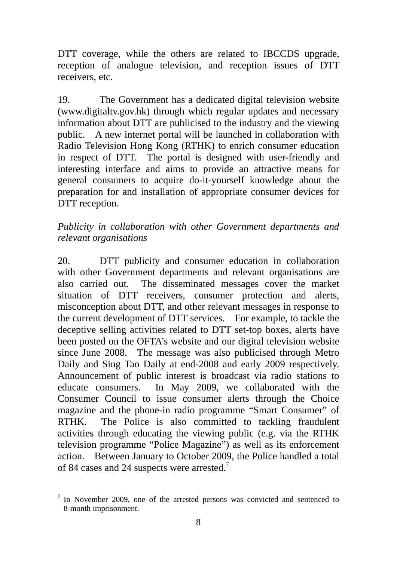DTT coverage, while the others are related to IBCCDS upgrade, reception of analogue television, and reception issues of DTT receivers, etc.

19. The Government has a dedicated digital television website (www.digitaltv.gov.hk) through which regular updates and necessary information about DTT are publicised to the industry and the viewing public. A new internet portal will be launched in collaboration with Radio Television Hong Kong (RTHK) to enrich consumer education in respect of DTT. The portal is designed with user-friendly and interesting interface and aims to provide an attractive means for general consumers to acquire do-it-yourself knowledge about the preparation for and installation of appropriate consumer devices for DTT reception.

*Publicity in collaboration with other Government departments and relevant organisations* 

20. DTT publicity and consumer education in collaboration with other Government departments and relevant organisations are also carried out. The disseminated messages cover the market situation of DTT receivers, consumer protection and alerts, misconception about DTT, and other relevant messages in response to the current development of DTT services. For example, to tackle the deceptive selling activities related to DTT set-top boxes, alerts have been posted on the OFTA's website and our digital television website since June 2008. The message was also publicised through Metro Daily and Sing Tao Daily at end-2008 and early 2009 respectively. Announcement of public interest is broadcast via radio stations to educate consumers. In May 2009, we collaborated with the Consumer Council to issue consumer alerts through the Choice magazine and the phone-in radio programme "Smart Consumer" of RTHK. The Police is also committed to tackling fraudulent activities through educating the viewing public (e.g. via the RTHK television programme "Police Magazine") as well as its enforcement action. Between January to October 2009, the Police handled a total of 84 cases and 24 suspects were arrested.<sup>7</sup>

 $\overline{a}$ 

<sup>7</sup> In November 2009, one of the arrested persons was convicted and sentenced to 8-month imprisonment.